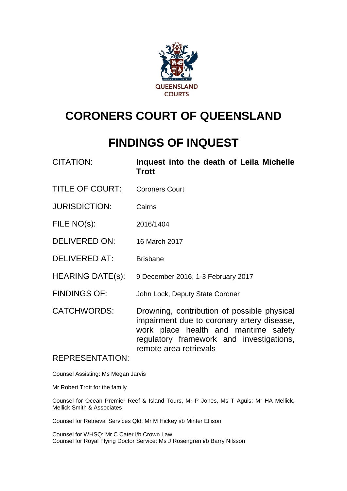

# **CORONERS COURT OF QUEENSLAND**

# **FINDINGS OF INQUEST**

| <b>CITATION:</b>       | Inquest into the death of Leila Michelle<br><b>Trott</b>                                                                                                                                                 |
|------------------------|----------------------------------------------------------------------------------------------------------------------------------------------------------------------------------------------------------|
| <b>TITLE OF COURT:</b> | <b>Coroners Court</b>                                                                                                                                                                                    |
| <b>JURISDICTION:</b>   | Cairns                                                                                                                                                                                                   |
| FILE NO(s):            | 2016/1404                                                                                                                                                                                                |
| DELIVERED ON:          | 16 March 2017                                                                                                                                                                                            |
| <b>DELIVERED AT:</b>   | <b>Brisbane</b>                                                                                                                                                                                          |
| HEARING DATE(s):       | 9 December 2016, 1-3 February 2017                                                                                                                                                                       |
| <b>FINDINGS OF:</b>    | John Lock, Deputy State Coroner                                                                                                                                                                          |
| <b>CATCHWORDS:</b>     | Drowning, contribution of possible physical<br>impairment due to coronary artery disease,<br>work place health and maritime safety<br>regulatory framework and investigations,<br>remote area retrievals |
| <b>REPRESENTATION:</b> |                                                                                                                                                                                                          |

Counsel Assisting: Ms Megan Jarvis

Mr Robert Trott for the family

Counsel for Ocean Premier Reef & Island Tours, Mr P Jones, Ms T Aguis: Mr HA Mellick, Mellick Smith & Associates

Counsel for Retrieval Services Qld: Mr M Hickey i/b Minter Ellison

Counsel for WHSQ: Mr C Cater i/b Crown Law Counsel for Royal Flying Doctor Service: Ms J Rosengren i/b Barry Nilsson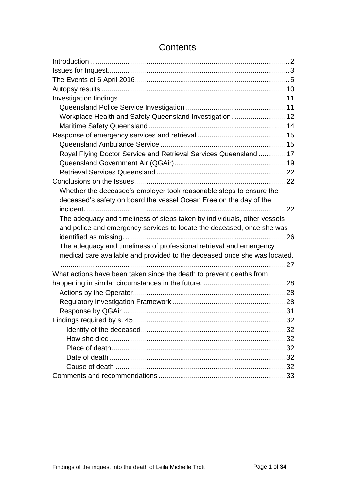| Workplace Health and Safety Queensland Investigation 12                   |  |
|---------------------------------------------------------------------------|--|
|                                                                           |  |
|                                                                           |  |
|                                                                           |  |
| Royal Flying Doctor Service and Retrieval Services Queensland  17         |  |
|                                                                           |  |
|                                                                           |  |
|                                                                           |  |
| Whether the deceased's employer took reasonable steps to ensure the       |  |
| deceased's safety on board the vessel Ocean Free on the day of the        |  |
|                                                                           |  |
| The adequacy and timeliness of steps taken by individuals, other vessels  |  |
| and police and emergency services to locate the deceased, once she was    |  |
|                                                                           |  |
| The adequacy and timeliness of professional retrieval and emergency       |  |
| medical care available and provided to the deceased once she was located. |  |
|                                                                           |  |
| What actions have been taken since the death to prevent deaths from       |  |
|                                                                           |  |
|                                                                           |  |
|                                                                           |  |
|                                                                           |  |
|                                                                           |  |
|                                                                           |  |
|                                                                           |  |
|                                                                           |  |
|                                                                           |  |
|                                                                           |  |
|                                                                           |  |

# **Contents**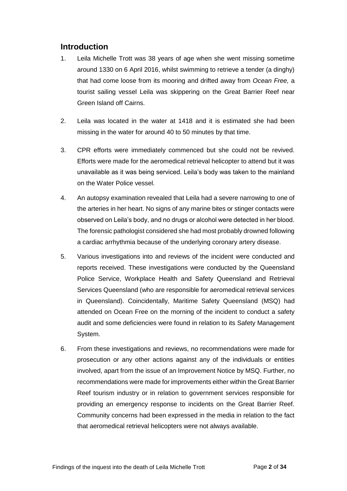# <span id="page-2-0"></span>**Introduction**

- 1. Leila Michelle Trott was 38 years of age when she went missing sometime around 1330 on 6 April 2016, whilst swimming to retrieve a tender (a dinghy) that had come loose from its mooring and drifted away from *Ocean Free,* a tourist sailing vessel Leila was skippering on the Great Barrier Reef near Green Island off Cairns.
- 2. Leila was located in the water at 1418 and it is estimated she had been missing in the water for around 40 to 50 minutes by that time.
- 3. CPR efforts were immediately commenced but she could not be revived. Efforts were made for the aeromedical retrieval helicopter to attend but it was unavailable as it was being serviced. Leila's body was taken to the mainland on the Water Police vessel.
- 4. An autopsy examination revealed that Leila had a severe narrowing to one of the arteries in her heart. No signs of any marine bites or stinger contacts were observed on Leila's body, and no drugs or alcohol were detected in her blood. The forensic pathologist considered she had most probably drowned following a cardiac arrhythmia because of the underlying coronary artery disease.
- 5. Various investigations into and reviews of the incident were conducted and reports received. These investigations were conducted by the Queensland Police Service, Workplace Health and Safety Queensland and Retrieval Services Queensland (who are responsible for aeromedical retrieval services in Queensland). Coincidentally, Maritime Safety Queensland (MSQ) had attended on Ocean Free on the morning of the incident to conduct a safety audit and some deficiencies were found in relation to its Safety Management System.
- 6. From these investigations and reviews, no recommendations were made for prosecution or any other actions against any of the individuals or entities involved, apart from the issue of an Improvement Notice by MSQ. Further, no recommendations were made for improvements either within the Great Barrier Reef tourism industry or in relation to government services responsible for providing an emergency response to incidents on the Great Barrier Reef. Community concerns had been expressed in the media in relation to the fact that aeromedical retrieval helicopters were not always available.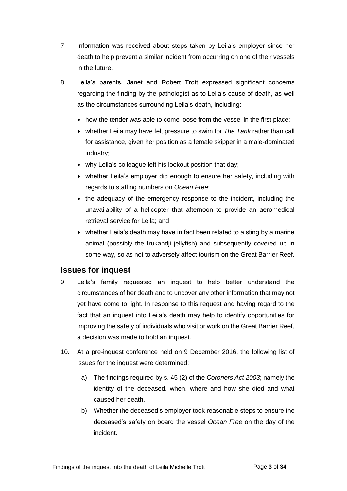- 7. Information was received about steps taken by Leila's employer since her death to help prevent a similar incident from occurring on one of their vessels in the future.
- 8. Leila's parents, Janet and Robert Trott expressed significant concerns regarding the finding by the pathologist as to Leila's cause of death, as well as the circumstances surrounding Leila's death, including:
	- how the tender was able to come loose from the vessel in the first place;
	- whether Leila may have felt pressure to swim for *The Tank* rather than call for assistance, given her position as a female skipper in a male-dominated industry;
	- why Leila's colleague left his lookout position that day;
	- whether Leila's employer did enough to ensure her safety, including with regards to staffing numbers on *Ocean Free*;
	- the adequacy of the emergency response to the incident, including the unavailability of a helicopter that afternoon to provide an aeromedical retrieval service for Leila; and
	- whether Leila's death may have in fact been related to a sting by a marine animal (possibly the Irukandji jellyfish) and subsequently covered up in some way, so as not to adversely affect tourism on the Great Barrier Reef.

# <span id="page-3-0"></span>**Issues for inquest**

- 9. Leila's family requested an inquest to help better understand the circumstances of her death and to uncover any other information that may not yet have come to light. In response to this request and having regard to the fact that an inquest into Leila's death may help to identify opportunities for improving the safety of individuals who visit or work on the Great Barrier Reef, a decision was made to hold an inquest.
- 10. At a pre-inquest conference held on 9 December 2016, the following list of issues for the inquest were determined:
	- a) The findings required by s. 45 (2) of the *Coroners Act 2003*; namely the identity of the deceased, when, where and how she died and what caused her death.
	- b) Whether the deceased's employer took reasonable steps to ensure the deceased's safety on board the vessel *Ocean Free* on the day of the incident.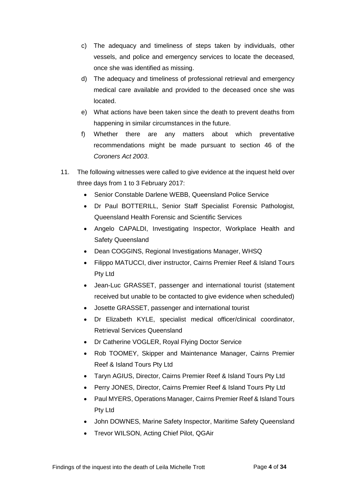- c) The adequacy and timeliness of steps taken by individuals, other vessels, and police and emergency services to locate the deceased, once she was identified as missing.
- d) The adequacy and timeliness of professional retrieval and emergency medical care available and provided to the deceased once she was located.
- e) What actions have been taken since the death to prevent deaths from happening in similar circumstances in the future.
- f) Whether there are any matters about which preventative recommendations might be made pursuant to section 46 of the *Coroners Act 2003*.
- 11. The following witnesses were called to give evidence at the inquest held over three days from 1 to 3 February 2017:
	- Senior Constable Darlene WEBB, Queensland Police Service
	- Dr Paul BOTTERILL, Senior Staff Specialist Forensic Pathologist, Queensland Health Forensic and Scientific Services
	- Angelo CAPALDI, Investigating Inspector, Workplace Health and Safety Queensland
	- Dean COGGINS, Regional Investigations Manager, WHSQ
	- Filippo MATUCCI, diver instructor, Cairns Premier Reef & Island Tours Pty Ltd
	- Jean-Luc GRASSET, passenger and international tourist (statement received but unable to be contacted to give evidence when scheduled)
	- Josette GRASSET, passenger and international tourist
	- Dr Elizabeth KYLE, specialist medical officer/clinical coordinator, Retrieval Services Queensland
	- Dr Catherine VOGLER, Royal Flying Doctor Service
	- Rob TOOMEY, Skipper and Maintenance Manager, Cairns Premier Reef & Island Tours Pty Ltd
	- Taryn AGIUS, Director, Cairns Premier Reef & Island Tours Pty Ltd
	- Perry JONES, Director, Cairns Premier Reef & Island Tours Pty Ltd
	- Paul MYERS, Operations Manager, Cairns Premier Reef & Island Tours Pty Ltd
	- John DOWNES, Marine Safety Inspector, Maritime Safety Queensland
	- Trevor WILSON, Acting Chief Pilot, QGAir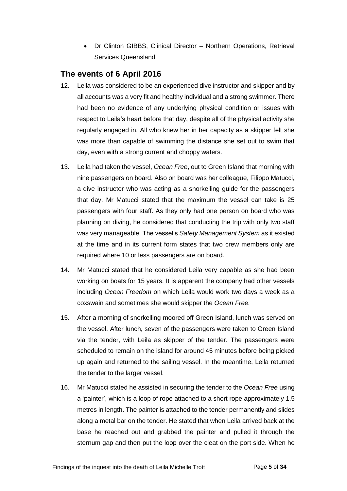• Dr Clinton GIBBS, Clinical Director – Northern Operations, Retrieval Services Queensland

# <span id="page-5-0"></span>**The events of 6 April 2016**

- 12. Leila was considered to be an experienced dive instructor and skipper and by all accounts was a very fit and healthy individual and a strong swimmer. There had been no evidence of any underlying physical condition or issues with respect to Leila's heart before that day, despite all of the physical activity she regularly engaged in. All who knew her in her capacity as a skipper felt she was more than capable of swimming the distance she set out to swim that day, even with a strong current and choppy waters.
- 13. Leila had taken the vessel, *Ocean Free*, out to Green Island that morning with nine passengers on board. Also on board was her colleague, Filippo Matucci, a dive instructor who was acting as a snorkelling guide for the passengers that day. Mr Matucci stated that the maximum the vessel can take is 25 passengers with four staff. As they only had one person on board who was planning on diving, he considered that conducting the trip with only two staff was very manageable. The vessel's *Safety Management System* as it existed at the time and in its current form states that two crew members only are required where 10 or less passengers are on board.
- 14. Mr Matucci stated that he considered Leila very capable as she had been working on boats for 15 years. It is apparent the company had other vessels including *Ocean Freedom* on which Leila would work two days a week as a coxswain and sometimes she would skipper the *Ocean Free.*
- 15. After a morning of snorkelling moored off Green Island, lunch was served on the vessel. After lunch, seven of the passengers were taken to Green Island via the tender, with Leila as skipper of the tender. The passengers were scheduled to remain on the island for around 45 minutes before being picked up again and returned to the sailing vessel. In the meantime, Leila returned the tender to the larger vessel.
- 16. Mr Matucci stated he assisted in securing the tender to the *Ocean Free* using a 'painter', which is a loop of rope attached to a short rope approximately 1.5 metres in length. The painter is attached to the tender permanently and slides along a metal bar on the tender. He stated that when Leila arrived back at the base he reached out and grabbed the painter and pulled it through the sternum gap and then put the loop over the cleat on the port side. When he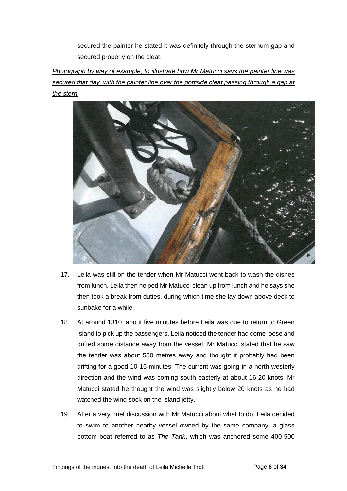secured the painter he stated it was definitely through the sternum gap and secured properly on the cleat.

*Photograph by way of example, to illustrate how Mr Matucci says the painter line was secured that day, with the painter line over the portside cleat passing through a gap at the stern*



- 17. Leila was still on the tender when Mr Matucci went back to wash the dishes from lunch. Leila then helped Mr Matucci clean up from lunch and he says she then took a break from duties, during which time she lay down above deck to sunbake for a while.
- 18. At around 1310, about five minutes before Leila was due to return to Green Island to pick up the passengers, Leila noticed the tender had come loose and drifted some distance away from the vessel. Mr Matucci stated that he saw the tender was about 500 metres away and thought it probably had been drifting for a good 10-15 minutes. The current was going in a north-westerly direction and the wind was coming south-easterly at about 16-20 knots. Mr Matucci stated he thought the wind was slightly below 20 knots as he had watched the wind sock on the island jetty.
- 19. After a very brief discussion with Mr Matucci about what to do, Leila decided to swim to another nearby vessel owned by the same company, a glass bottom boat referred to as *The Tank*, which was anchored some 400-500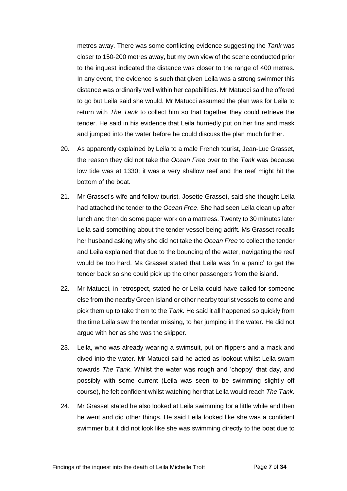metres away. There was some conflicting evidence suggesting the *Tank* was closer to 150-200 metres away, but my own view of the scene conducted prior to the inquest indicated the distance was closer to the range of 400 metres. In any event, the evidence is such that given Leila was a strong swimmer this distance was ordinarily well within her capabilities. Mr Matucci said he offered to go but Leila said she would. Mr Matucci assumed the plan was for Leila to return with *The Tank* to collect him so that together they could retrieve the tender. He said in his evidence that Leila hurriedly put on her fins and mask and jumped into the water before he could discuss the plan much further.

- 20. As apparently explained by Leila to a male French tourist, Jean-Luc Grasset, the reason they did not take the *Ocean Free* over to the *Tank* was because low tide was at 1330; it was a very shallow reef and the reef might hit the bottom of the boat.
- 21. Mr Grasset's wife and fellow tourist, Josette Grasset, said she thought Leila had attached the tender to the *Ocean Free*. She had seen Leila clean up after lunch and then do some paper work on a mattress. Twenty to 30 minutes later Leila said something about the tender vessel being adrift. Ms Grasset recalls her husband asking why she did not take the *Ocean Free* to collect the tender and Leila explained that due to the bouncing of the water, navigating the reef would be too hard. Ms Grasset stated that Leila was 'in a panic' to get the tender back so she could pick up the other passengers from the island.
- 22. Mr Matucci, in retrospect, stated he or Leila could have called for someone else from the nearby Green Island or other nearby tourist vessels to come and pick them up to take them to the *Tank.* He said it all happened so quickly from the time Leila saw the tender missing, to her jumping in the water. He did not argue with her as she was the skipper.
- 23. Leila, who was already wearing a swimsuit, put on flippers and a mask and dived into the water. Mr Matucci said he acted as lookout whilst Leila swam towards *The Tank*. Whilst the water was rough and 'choppy' that day, and possibly with some current (Leila was seen to be swimming slightly off course), he felt confident whilst watching her that Leila would reach *The Tank*.
- 24. Mr Grasset stated he also looked at Leila swimming for a little while and then he went and did other things. He said Leila looked like she was a confident swimmer but it did not look like she was swimming directly to the boat due to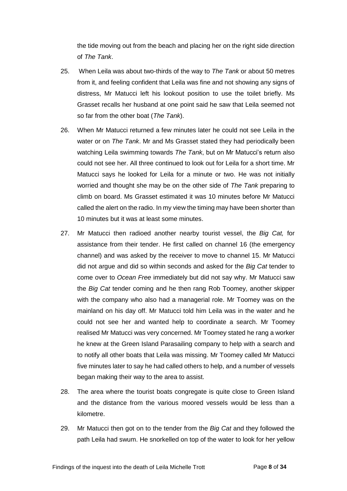the tide moving out from the beach and placing her on the right side direction of *The Tank*.

- 25. When Leila was about two-thirds of the way to *The Tank* or about 50 metres from it, and feeling confident that Leila was fine and not showing any signs of distress, Mr Matucci left his lookout position to use the toilet briefly. Ms Grasset recalls her husband at one point said he saw that Leila seemed not so far from the other boat (*The Tank*).
- 26. When Mr Matucci returned a few minutes later he could not see Leila in the water or on *The Tank*. Mr and Ms Grasset stated they had periodically been watching Leila swimming towards *The Tank*, but on Mr Matucci's return also could not see her. All three continued to look out for Leila for a short time. Mr Matucci says he looked for Leila for a minute or two. He was not initially worried and thought she may be on the other side of *The Tank* preparing to climb on board. Ms Grasset estimated it was 10 minutes before Mr Matucci called the alert on the radio. In my view the timing may have been shorter than 10 minutes but it was at least some minutes.
- 27. Mr Matucci then radioed another nearby tourist vessel, the *Big Cat,* for assistance from their tender. He first called on channel 16 (the emergency channel) and was asked by the receiver to move to channel 15. Mr Matucci did not argue and did so within seconds and asked for the *Big Cat* tender to come over to *Ocean Free* immediately but did not say why. Mr Matucci saw the *Big Cat* tender coming and he then rang Rob Toomey, another skipper with the company who also had a managerial role. Mr Toomey was on the mainland on his day off. Mr Matucci told him Leila was in the water and he could not see her and wanted help to coordinate a search. Mr Toomey realised Mr Matucci was very concerned. Mr Toomey stated he rang a worker he knew at the Green Island Parasailing company to help with a search and to notify all other boats that Leila was missing. Mr Toomey called Mr Matucci five minutes later to say he had called others to help, and a number of vessels began making their way to the area to assist.
- 28. The area where the tourist boats congregate is quite close to Green Island and the distance from the various moored vessels would be less than a kilometre.
- 29. Mr Matucci then got on to the tender from the *Big Cat* and they followed the path Leila had swum. He snorkelled on top of the water to look for her yellow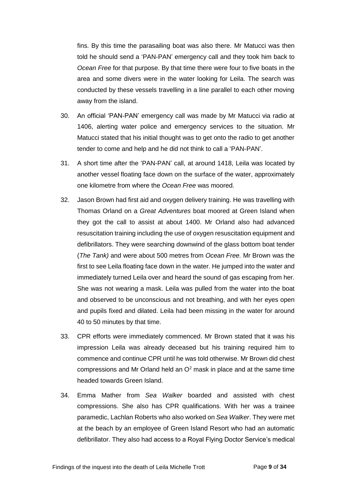fins. By this time the parasailing boat was also there. Mr Matucci was then told he should send a 'PAN-PAN' emergency call and they took him back to *Ocean Free* for that purpose. By that time there were four to five boats in the area and some divers were in the water looking for Leila. The search was conducted by these vessels travelling in a line parallel to each other moving away from the island.

- 30. An official 'PAN-PAN' emergency call was made by Mr Matucci via radio at 1406, alerting water police and emergency services to the situation. Mr Matucci stated that his initial thought was to get onto the radio to get another tender to come and help and he did not think to call a 'PAN-PAN'.
- 31. A short time after the 'PAN-PAN' call, at around 1418, Leila was located by another vessel floating face down on the surface of the water, approximately one kilometre from where the *Ocean Free* was moored.
- 32. Jason Brown had first aid and oxygen delivery training. He was travelling with Thomas Orland on a *Great Adventures* boat moored at Green Island when they got the call to assist at about 1400. Mr Orland also had advanced resuscitation training including the use of oxygen resuscitation equipment and defibrillators. They were searching downwind of the glass bottom boat tender (*The Tank)* and were about 500 metres from *Ocean Free.* Mr Brown was the first to see Leila floating face down in the water. He jumped into the water and immediately turned Leila over and heard the sound of gas escaping from her. She was not wearing a mask. Leila was pulled from the water into the boat and observed to be unconscious and not breathing, and with her eyes open and pupils fixed and dilated. Leila had been missing in the water for around 40 to 50 minutes by that time.
- 33. CPR efforts were immediately commenced. Mr Brown stated that it was his impression Leila was already deceased but his training required him to commence and continue CPR until he was told otherwise. Mr Brown did chest compressions and Mr Orland held an  $O<sup>2</sup>$  mask in place and at the same time headed towards Green Island.
- 34. Emma Mather from *Sea Walker* boarded and assisted with chest compressions. She also has CPR qualifications. With her was a trainee paramedic, Lachlan Roberts who also worked on *Sea Walker*. They were met at the beach by an employee of Green Island Resort who had an automatic defibrillator. They also had access to a Royal Flying Doctor Service's medical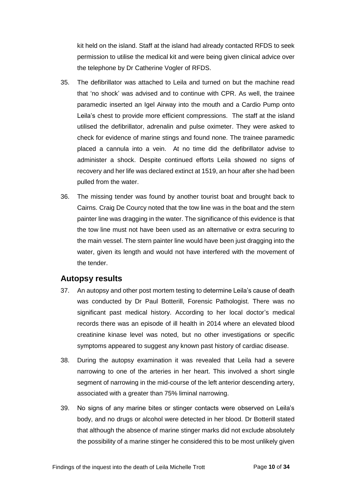kit held on the island. Staff at the island had already contacted RFDS to seek permission to utilise the medical kit and were being given clinical advice over the telephone by Dr Catherine Vogler of RFDS.

- 35. The defibrillator was attached to Leila and turned on but the machine read that 'no shock' was advised and to continue with CPR. As well, the trainee paramedic inserted an Igel Airway into the mouth and a Cardio Pump onto Leila's chest to provide more efficient compressions. The staff at the island utilised the defibrillator, adrenalin and pulse oximeter. They were asked to check for evidence of marine stings and found none. The trainee paramedic placed a cannula into a vein. At no time did the defibrillator advise to administer a shock. Despite continued efforts Leila showed no signs of recovery and her life was declared extinct at 1519, an hour after she had been pulled from the water.
- 36. The missing tender was found by another tourist boat and brought back to Cairns. Craig De Courcy noted that the tow line was in the boat and the stern painter line was dragging in the water. The significance of this evidence is that the tow line must not have been used as an alternative or extra securing to the main vessel. The stern painter line would have been just dragging into the water, given its length and would not have interfered with the movement of the tender.

### <span id="page-10-0"></span>**Autopsy results**

- 37. An autopsy and other post mortem testing to determine Leila's cause of death was conducted by Dr Paul Botterill, Forensic Pathologist. There was no significant past medical history. According to her local doctor's medical records there was an episode of ill health in 2014 where an elevated blood creatinine kinase level was noted, but no other investigations or specific symptoms appeared to suggest any known past history of cardiac disease.
- 38. During the autopsy examination it was revealed that Leila had a severe narrowing to one of the arteries in her heart. This involved a short single segment of narrowing in the mid-course of the left anterior descending artery, associated with a greater than 75% liminal narrowing.
- 39. No signs of any marine bites or stinger contacts were observed on Leila's body, and no drugs or alcohol were detected in her blood. Dr Botterill stated that although the absence of marine stinger marks did not exclude absolutely the possibility of a marine stinger he considered this to be most unlikely given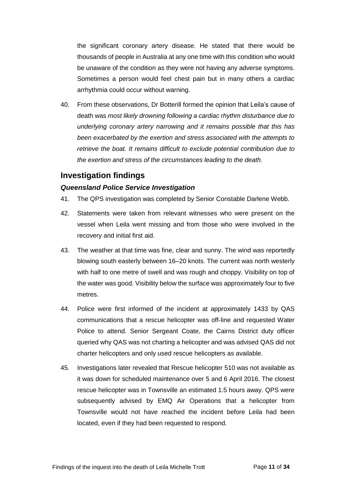the significant coronary artery disease. He stated that there would be thousands of people in Australia at any one time with this condition who would be unaware of the condition as they were not having any adverse symptoms. Sometimes a person would feel chest pain but in many others a cardiac arrhythmia could occur without warning.

40. From these observations, Dr Botterill formed the opinion that Leila's cause of death was *most likely drowning following a cardiac rhythm disturbance due to underlying coronary artery narrowing and it remains possible that this has been exacerbated by the exertion and stress associated with the attempts to retrieve the boat. It remains difficult to exclude potential contribution due to the exertion and stress of the circumstances leading to the death.*

# <span id="page-11-0"></span>**Investigation findings**

#### <span id="page-11-1"></span>*Queensland Police Service Investigation*

- 41. The QPS investigation was completed by Senior Constable Darlene Webb.
- 42. Statements were taken from relevant witnesses who were present on the vessel when Leila went missing and from those who were involved in the recovery and initial first aid.
- 43. The weather at that time was fine, clear and sunny. The wind was reportedly blowing south easterly between 16–20 knots. The current was north westerly with half to one metre of swell and was rough and choppy. Visibility on top of the water was good. Visibility below the surface was approximately four to five metres.
- 44. Police were first informed of the incident at approximately 1433 by QAS communications that a rescue helicopter was off-line and requested Water Police to attend. Senior Sergeant Coate, the Cairns District duty officer queried why QAS was not charting a helicopter and was advised QAS did not charter helicopters and only used rescue helicopters as available.
- 45. Investigations later revealed that Rescue helicopter 510 was not available as it was down for scheduled maintenance over 5 and 6 April 2016. The closest rescue helicopter was in Townsville an estimated 1.5 hours away. QPS were subsequently advised by EMQ Air Operations that a helicopter from Townsville would not have reached the incident before Leila had been located, even if they had been requested to respond.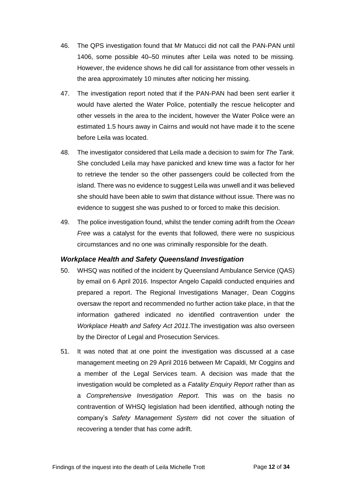- 46. The QPS investigation found that Mr Matucci did not call the PAN-PAN until 1406, some possible 40–50 minutes after Leila was noted to be missing. However, the evidence shows he did call for assistance from other vessels in the area approximately 10 minutes after noticing her missing.
- 47. The investigation report noted that if the PAN-PAN had been sent earlier it would have alerted the Water Police, potentially the rescue helicopter and other vessels in the area to the incident, however the Water Police were an estimated 1.5 hours away in Cairns and would not have made it to the scene before Leila was located.
- 48. The investigator considered that Leila made a decision to swim for *The Tank.* She concluded Leila may have panicked and knew time was a factor for her to retrieve the tender so the other passengers could be collected from the island. There was no evidence to suggest Leila was unwell and it was believed she should have been able to swim that distance without issue. There was no evidence to suggest she was pushed to or forced to make this decision.
- 49. The police investigation found, whilst the tender coming adrift from the *Ocean Free* was a catalyst for the events that followed, there were no suspicious circumstances and no one was criminally responsible for the death.

#### <span id="page-12-0"></span>*Workplace Health and Safety Queensland Investigation*

- 50. WHSQ was notified of the incident by Queensland Ambulance Service (QAS) by email on 6 April 2016. Inspector Angelo Capaldi conducted enquiries and prepared a report. The Regional Investigations Manager, Dean Coggins oversaw the report and recommended no further action take place, in that the information gathered indicated no identified contravention under the *Workplace Health and Safety Act 2011*.The investigation was also overseen by the Director of Legal and Prosecution Services.
- 51. It was noted that at one point the investigation was discussed at a case management meeting on 29 April 2016 between Mr Capaldi, Mr Coggins and a member of the Legal Services team. A decision was made that the investigation would be completed as a *Fatality Enquiry Report* rather than as a *Comprehensive Investigation Report*. This was on the basis no contravention of WHSQ legislation had been identified, although noting the company's *Safety Management System* did not cover the situation of recovering a tender that has come adrift.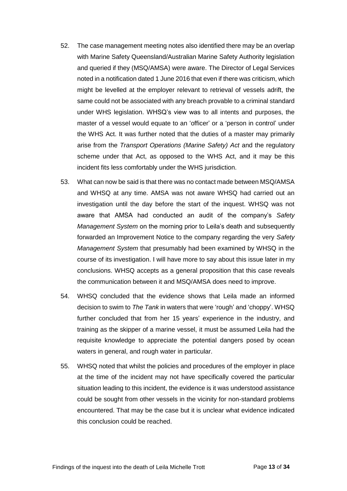- 52. The case management meeting notes also identified there may be an overlap with Marine Safety Queensland/Australian Marine Safety Authority legislation and queried if they (MSQ/AMSA) were aware. The Director of Legal Services noted in a notification dated 1 June 2016 that even if there was criticism, which might be levelled at the employer relevant to retrieval of vessels adrift, the same could not be associated with any breach provable to a criminal standard under WHS legislation. WHSQ's view was to all intents and purposes, the master of a vessel would equate to an 'officer' or a 'person in control' under the WHS Act. It was further noted that the duties of a master may primarily arise from the *Transport Operations (Marine Safety) Act* and the regulatory scheme under that Act, as opposed to the WHS Act, and it may be this incident fits less comfortably under the WHS jurisdiction.
- 53. What can now be said is that there was no contact made between MSQ/AMSA and WHSQ at any time. AMSA was not aware WHSQ had carried out an investigation until the day before the start of the inquest. WHSQ was not aware that AMSA had conducted an audit of the company's *Safety Management System* on the morning prior to Leila's death and subsequently forwarded an Improvement Notice to the company regarding the very *Safety Management System* that presumably had been examined by WHSQ in the course of its investigation. I will have more to say about this issue later in my conclusions. WHSQ accepts as a general proposition that this case reveals the communication between it and MSQ/AMSA does need to improve.
- 54. WHSQ concluded that the evidence shows that Leila made an informed decision to swim to *The Tank* in waters that were 'rough' and 'choppy'. WHSQ further concluded that from her 15 years' experience in the industry, and training as the skipper of a marine vessel, it must be assumed Leila had the requisite knowledge to appreciate the potential dangers posed by ocean waters in general, and rough water in particular.
- 55. WHSQ noted that whilst the policies and procedures of the employer in place at the time of the incident may not have specifically covered the particular situation leading to this incident, the evidence is it was understood assistance could be sought from other vessels in the vicinity for non-standard problems encountered. That may be the case but it is unclear what evidence indicated this conclusion could be reached.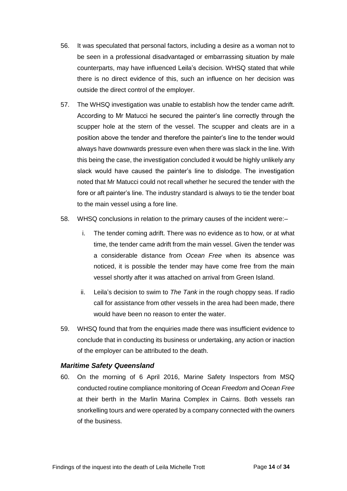- 56. It was speculated that personal factors, including a desire as a woman not to be seen in a professional disadvantaged or embarrassing situation by male counterparts, may have influenced Leila's decision. WHSQ stated that while there is no direct evidence of this, such an influence on her decision was outside the direct control of the employer.
- 57. The WHSQ investigation was unable to establish how the tender came adrift. According to Mr Matucci he secured the painter's line correctly through the scupper hole at the stern of the vessel. The scupper and cleats are in a position above the tender and therefore the painter's line to the tender would always have downwards pressure even when there was slack in the line. With this being the case, the investigation concluded it would be highly unlikely any slack would have caused the painter's line to dislodge. The investigation noted that Mr Matucci could not recall whether he secured the tender with the fore or aft painter's line. The industry standard is always to tie the tender boat to the main vessel using a fore line.
- 58. WHSQ conclusions in relation to the primary causes of the incident were:–
	- i. The tender coming adrift. There was no evidence as to how, or at what time, the tender came adrift from the main vessel. Given the tender was a considerable distance from *Ocean Free* when its absence was noticed, it is possible the tender may have come free from the main vessel shortly after it was attached on arrival from Green Island.
	- ii. Leila's decision to swim to *The Tank* in the rough choppy seas. If radio call for assistance from other vessels in the area had been made, there would have been no reason to enter the water.
- 59. WHSQ found that from the enquiries made there was insufficient evidence to conclude that in conducting its business or undertaking, any action or inaction of the employer can be attributed to the death.

#### <span id="page-14-0"></span>*Maritime Safety Queensland*

60. On the morning of 6 April 2016, Marine Safety Inspectors from MSQ conducted routine compliance monitoring of *Ocean Freedom* and *Ocean Free* at their berth in the Marlin Marina Complex in Cairns. Both vessels ran snorkelling tours and were operated by a company connected with the owners of the business.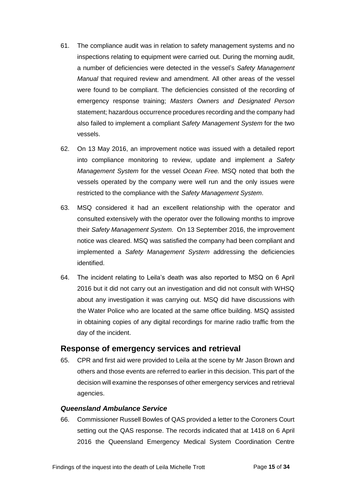- 61. The compliance audit was in relation to safety management systems and no inspections relating to equipment were carried out. During the morning audit, a number of deficiencies were detected in the vessel's *Safety Management Manual* that required review and amendment. All other areas of the vessel were found to be compliant. The deficiencies consisted of the recording of emergency response training; *Masters Owners and Designated Person* statement; hazardous occurrence procedures recording and the company had also failed to implement a compliant *Safety Management System* for the two vessels.
- 62. On 13 May 2016, an improvement notice was issued with a detailed report into compliance monitoring to review, update and implement *a Safety Management System* for the vessel *Ocean Free.* MSQ noted that both the vessels operated by the company were well run and the only issues were restricted to the compliance with the *Safety Management System*.
- 63. MSQ considered it had an excellent relationship with the operator and consulted extensively with the operator over the following months to improve their *Safety Management System.* On 13 September 2016, the improvement notice was cleared. MSQ was satisfied the company had been compliant and implemented a *Safety Management System* addressing the deficiencies identified.
- 64. The incident relating to Leila's death was also reported to MSQ on 6 April 2016 but it did not carry out an investigation and did not consult with WHSQ about any investigation it was carrying out. MSQ did have discussions with the Water Police who are located at the same office building. MSQ assisted in obtaining copies of any digital recordings for marine radio traffic from the day of the incident.

#### <span id="page-15-0"></span>**Response of emergency services and retrieval**

65. CPR and first aid were provided to Leila at the scene by Mr Jason Brown and others and those events are referred to earlier in this decision. This part of the decision will examine the responses of other emergency services and retrieval agencies.

#### <span id="page-15-1"></span>*Queensland Ambulance Service*

66. Commissioner Russell Bowles of QAS provided a letter to the Coroners Court setting out the QAS response. The records indicated that at 1418 on 6 April 2016 the Queensland Emergency Medical System Coordination Centre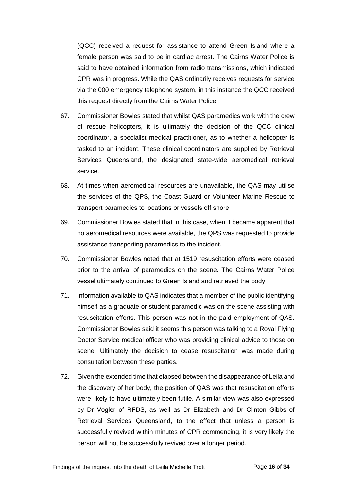(QCC) received a request for assistance to attend Green Island where a female person was said to be in cardiac arrest. The Cairns Water Police is said to have obtained information from radio transmissions, which indicated CPR was in progress. While the QAS ordinarily receives requests for service via the 000 emergency telephone system, in this instance the QCC received this request directly from the Cairns Water Police.

- 67. Commissioner Bowles stated that whilst QAS paramedics work with the crew of rescue helicopters, it is ultimately the decision of the QCC clinical coordinator, a specialist medical practitioner, as to whether a helicopter is tasked to an incident. These clinical coordinators are supplied by Retrieval Services Queensland, the designated state-wide aeromedical retrieval service.
- 68. At times when aeromedical resources are unavailable, the QAS may utilise the services of the QPS, the Coast Guard or Volunteer Marine Rescue to transport paramedics to locations or vessels off shore.
- 69. Commissioner Bowles stated that in this case, when it became apparent that no aeromedical resources were available, the QPS was requested to provide assistance transporting paramedics to the incident.
- 70. Commissioner Bowles noted that at 1519 resuscitation efforts were ceased prior to the arrival of paramedics on the scene. The Cairns Water Police vessel ultimately continued to Green Island and retrieved the body.
- 71. Information available to QAS indicates that a member of the public identifying himself as a graduate or student paramedic was on the scene assisting with resuscitation efforts. This person was not in the paid employment of QAS. Commissioner Bowles said it seems this person was talking to a Royal Flying Doctor Service medical officer who was providing clinical advice to those on scene. Ultimately the decision to cease resuscitation was made during consultation between these parties.
- 72. Given the extended time that elapsed between the disappearance of Leila and the discovery of her body, the position of QAS was that resuscitation efforts were likely to have ultimately been futile. A similar view was also expressed by Dr Vogler of RFDS, as well as Dr Elizabeth and Dr Clinton Gibbs of Retrieval Services Queensland, to the effect that unless a person is successfully revived within minutes of CPR commencing, it is very likely the person will not be successfully revived over a longer period.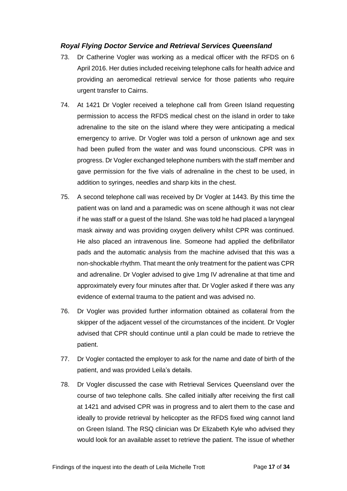#### <span id="page-17-0"></span>*Royal Flying Doctor Service and Retrieval Services Queensland*

- 73. Dr Catherine Vogler was working as a medical officer with the RFDS on 6 April 2016. Her duties included receiving telephone calls for health advice and providing an aeromedical retrieval service for those patients who require urgent transfer to Cairns.
- 74. At 1421 Dr Vogler received a telephone call from Green Island requesting permission to access the RFDS medical chest on the island in order to take adrenaline to the site on the island where they were anticipating a medical emergency to arrive. Dr Vogler was told a person of unknown age and sex had been pulled from the water and was found unconscious. CPR was in progress. Dr Vogler exchanged telephone numbers with the staff member and gave permission for the five vials of adrenaline in the chest to be used, in addition to syringes, needles and sharp kits in the chest.
- 75. A second telephone call was received by Dr Vogler at 1443. By this time the patient was on land and a paramedic was on scene although it was not clear if he was staff or a guest of the Island. She was told he had placed a laryngeal mask airway and was providing oxygen delivery whilst CPR was continued. He also placed an intravenous line. Someone had applied the defibrillator pads and the automatic analysis from the machine advised that this was a non-shockable rhythm. That meant the only treatment for the patient was CPR and adrenaline. Dr Vogler advised to give 1mg IV adrenaline at that time and approximately every four minutes after that. Dr Vogler asked if there was any evidence of external trauma to the patient and was advised no.
- 76. Dr Vogler was provided further information obtained as collateral from the skipper of the adjacent vessel of the circumstances of the incident. Dr Vogler advised that CPR should continue until a plan could be made to retrieve the patient.
- 77. Dr Vogler contacted the employer to ask for the name and date of birth of the patient, and was provided Leila's details.
- 78. Dr Vogler discussed the case with Retrieval Services Queensland over the course of two telephone calls. She called initially after receiving the first call at 1421 and advised CPR was in progress and to alert them to the case and ideally to provide retrieval by helicopter as the RFDS fixed wing cannot land on Green Island. The RSQ clinician was Dr Elizabeth Kyle who advised they would look for an available asset to retrieve the patient. The issue of whether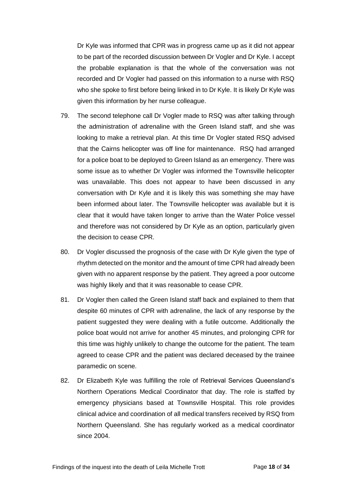Dr Kyle was informed that CPR was in progress came up as it did not appear to be part of the recorded discussion between Dr Vogler and Dr Kyle. I accept the probable explanation is that the whole of the conversation was not recorded and Dr Vogler had passed on this information to a nurse with RSQ who she spoke to first before being linked in to Dr Kyle. It is likely Dr Kyle was given this information by her nurse colleague.

- 79. The second telephone call Dr Vogler made to RSQ was after talking through the administration of adrenaline with the Green Island staff, and she was looking to make a retrieval plan. At this time Dr Vogler stated RSQ advised that the Cairns helicopter was off line for maintenance. RSQ had arranged for a police boat to be deployed to Green Island as an emergency. There was some issue as to whether Dr Vogler was informed the Townsville helicopter was unavailable. This does not appear to have been discussed in any conversation with Dr Kyle and it is likely this was something she may have been informed about later. The Townsville helicopter was available but it is clear that it would have taken longer to arrive than the Water Police vessel and therefore was not considered by Dr Kyle as an option, particularly given the decision to cease CPR.
- 80. Dr Vogler discussed the prognosis of the case with Dr Kyle given the type of rhythm detected on the monitor and the amount of time CPR had already been given with no apparent response by the patient. They agreed a poor outcome was highly likely and that it was reasonable to cease CPR.
- 81. Dr Vogler then called the Green Island staff back and explained to them that despite 60 minutes of CPR with adrenaline, the lack of any response by the patient suggested they were dealing with a futile outcome. Additionally the police boat would not arrive for another 45 minutes, and prolonging CPR for this time was highly unlikely to change the outcome for the patient. The team agreed to cease CPR and the patient was declared deceased by the trainee paramedic on scene.
- 82. Dr Elizabeth Kyle was fulfilling the role of Retrieval Services Queensland's Northern Operations Medical Coordinator that day. The role is staffed by emergency physicians based at Townsville Hospital. This role provides clinical advice and coordination of all medical transfers received by RSQ from Northern Queensland. She has regularly worked as a medical coordinator since 2004.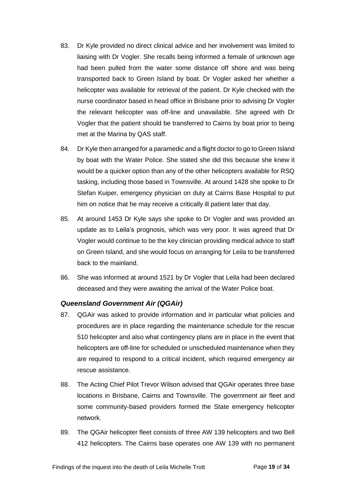- 83. Dr Kyle provided no direct clinical advice and her involvement was limited to liaising with Dr Vogler. She recalls being informed a female of unknown age had been pulled from the water some distance off shore and was being transported back to Green Island by boat. Dr Vogler asked her whether a helicopter was available for retrieval of the patient. Dr Kyle checked with the nurse coordinator based in head office in Brisbane prior to advising Dr Vogler the relevant helicopter was off-line and unavailable. She agreed with Dr Vogler that the patient should be transferred to Cairns by boat prior to being met at the Marina by QAS staff.
- 84. Dr Kyle then arranged for a paramedic and a flight doctor to go to Green Island by boat with the Water Police. She stated she did this because she knew it would be a quicker option than any of the other helicopters available for RSQ tasking, including those based in Townsville. At around 1428 she spoke to Dr Stefan Kuiper, emergency physician on duty at Cairns Base Hospital to put him on notice that he may receive a critically ill patient later that day.
- 85. At around 1453 Dr Kyle says she spoke to Dr Vogler and was provided an update as to Leila's prognosis, which was very poor. It was agreed that Dr Vogler would continue to be the key clinician providing medical advice to staff on Green Island, and she would focus on arranging for Leila to be transferred back to the mainland.
- 86. She was informed at around 1521 by Dr Vogler that Leila had been declared deceased and they were awaiting the arrival of the Water Police boat.

#### <span id="page-19-0"></span>*Queensland Government Air (QGAir)*

- 87. QGAir was asked to provide information and in particular what policies and procedures are in place regarding the maintenance schedule for the rescue 510 helicopter and also what contingency plans are in place in the event that helicopters are off-line for scheduled or unscheduled maintenance when they are required to respond to a critical incident, which required emergency air rescue assistance.
- 88. The Acting Chief Pilot Trevor Wilson advised that QGAir operates three base locations in Brisbane, Cairns and Townsville. The government air fleet and some community-based providers formed the State emergency helicopter network.
- 89. The QGAir helicopter fleet consists of three AW 139 helicopters and two Bell 412 helicopters. The Cairns base operates one AW 139 with no permanent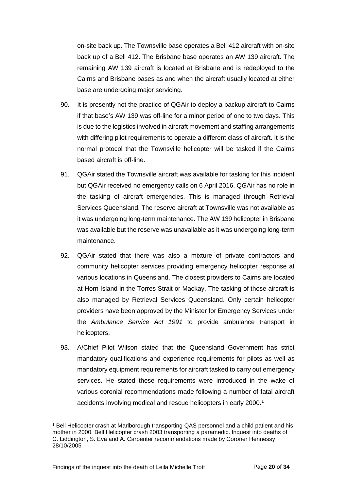on-site back up. The Townsville base operates a Bell 412 aircraft with on-site back up of a Bell 412. The Brisbane base operates an AW 139 aircraft. The remaining AW 139 aircraft is located at Brisbane and is redeployed to the Cairns and Brisbane bases as and when the aircraft usually located at either base are undergoing major servicing.

- 90. It is presently not the practice of QGAir to deploy a backup aircraft to Cairns if that base's AW 139 was off-line for a minor period of one to two days. This is due to the logistics involved in aircraft movement and staffing arrangements with differing pilot requirements to operate a different class of aircraft. It is the normal protocol that the Townsville helicopter will be tasked if the Cairns based aircraft is off-line.
- 91. QGAir stated the Townsville aircraft was available for tasking for this incident but QGAir received no emergency calls on 6 April 2016. QGAir has no role in the tasking of aircraft emergencies. This is managed through Retrieval Services Queensland. The reserve aircraft at Townsville was not available as it was undergoing long-term maintenance. The AW 139 helicopter in Brisbane was available but the reserve was unavailable as it was undergoing long-term maintenance.
- 92. QGAir stated that there was also a mixture of private contractors and community helicopter services providing emergency helicopter response at various locations in Queensland. The closest providers to Cairns are located at Horn Island in the Torres Strait or Mackay. The tasking of those aircraft is also managed by Retrieval Services Queensland. Only certain helicopter providers have been approved by the Minister for Emergency Services under the *Ambulance Service Act 1991* to provide ambulance transport in helicopters.
- 93. A/Chief Pilot Wilson stated that the Queensland Government has strict mandatory qualifications and experience requirements for pilots as well as mandatory equipment requirements for aircraft tasked to carry out emergency services. He stated these requirements were introduced in the wake of various coronial recommendations made following a number of fatal aircraft accidents involving medical and rescue helicopters in early 2000.<sup>1</sup>

l <sup>1</sup> Bell Helicopter crash at Marlborough transporting QAS personnel and a child patient and his mother in 2000. Bell Helicopter crash 2003 transporting a paramedic. Inquest into deaths of C. Liddington, S. Eva and A. Carpenter recommendations made by Coroner Hennessy 28/10/2005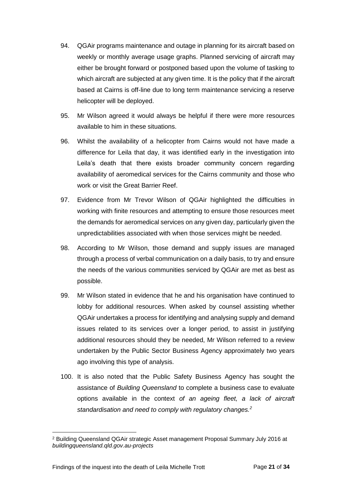- 94. QGAir programs maintenance and outage in planning for its aircraft based on weekly or monthly average usage graphs. Planned servicing of aircraft may either be brought forward or postponed based upon the volume of tasking to which aircraft are subjected at any given time. It is the policy that if the aircraft based at Cairns is off-line due to long term maintenance servicing a reserve helicopter will be deployed.
- 95. Mr Wilson agreed it would always be helpful if there were more resources available to him in these situations.
- 96. Whilst the availability of a helicopter from Cairns would not have made a difference for Leila that day, it was identified early in the investigation into Leila's death that there exists broader community concern regarding availability of aeromedical services for the Cairns community and those who work or visit the Great Barrier Reef.
- 97. Evidence from Mr Trevor Wilson of QGAir highlighted the difficulties in working with finite resources and attempting to ensure those resources meet the demands for aeromedical services on any given day, particularly given the unpredictabilities associated with when those services might be needed.
- 98. According to Mr Wilson, those demand and supply issues are managed through a process of verbal communication on a daily basis, to try and ensure the needs of the various communities serviced by QGAir are met as best as possible.
- 99. Mr Wilson stated in evidence that he and his organisation have continued to lobby for additional resources. When asked by counsel assisting whether QGAir undertakes a process for identifying and analysing supply and demand issues related to its services over a longer period, to assist in justifying additional resources should they be needed, Mr Wilson referred to a review undertaken by the Public Sector Business Agency approximately two years ago involving this type of analysis.
- 100. It is also noted that the Public Safety Business Agency has sought the assistance of *Building Queensland* to complete a business case to evaluate options available in the context *of an ageing fleet, a lack of aircraft standardisation and need to comply with regulatory changes.<sup>2</sup>*

l

<sup>2</sup> Building Queensland QGAir strategic Asset management Proposal Summary July 2016 at *buildingqueensland.qld.gov.au-projects*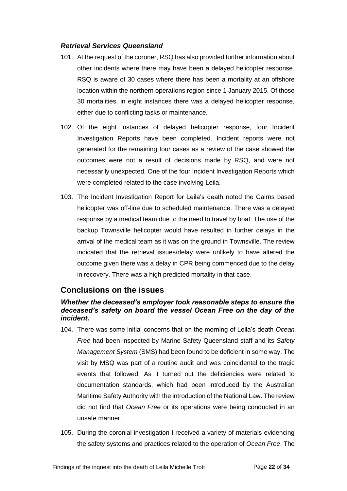#### <span id="page-22-0"></span>*Retrieval Services Queensland*

- 101. At the request of the coroner, RSQ has also provided further information about other incidents where there may have been a delayed helicopter response. RSQ is aware of 30 cases where there has been a mortality at an offshore location within the northern operations region since 1 January 2015. Of those 30 mortalities, in eight instances there was a delayed helicopter response, either due to conflicting tasks or maintenance.
- 102. Of the eight instances of delayed helicopter response, four Incident Investigation Reports have been completed. Incident reports were not generated for the remaining four cases as a review of the case showed the outcomes were not a result of decisions made by RSQ, and were not necessarily unexpected. One of the four Incident Investigation Reports which were completed related to the case involving Leila.
- 103. The Incident Investigation Report for Leila's death noted the Cairns based helicopter was off-line due to scheduled maintenance. There was a delayed response by a medical team due to the need to travel by boat. The use of the backup Townsville helicopter would have resulted in further delays in the arrival of the medical team as it was on the ground in Townsville. The review indicated that the retrieval issues/delay were unlikely to have altered the outcome given there was a delay in CPR being commenced due to the delay in recovery. There was a high predicted mortality in that case.

# <span id="page-22-1"></span>**Conclusions on the issues**

#### <span id="page-22-2"></span>*Whether the deceased's employer took reasonable steps to ensure the deceased's safety on board the vessel Ocean Free on the day of the incident.*

- 104. There was some initial concerns that on the morning of Leila's death *Ocean Free* had been inspected by Marine Safety Queensland staff and its *Safety Management System* (SMS) had been found to be deficient in some way. The visit by MSQ was part of a routine audit and was coincidental to the tragic events that followed. As it turned out the deficiencies were related to documentation standards, which had been introduced by the Australian Maritime Safety Authority with the introduction of the National Law. The review did not find that *Ocean Free* or its operations were being conducted in an unsafe manner.
- 105. During the coronial investigation I received a variety of materials evidencing the safety systems and practices related to the operation of *Ocean Free*. The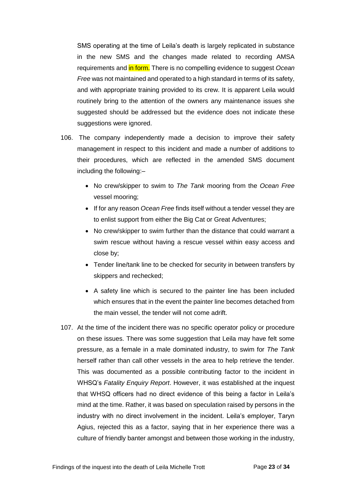SMS operating at the time of Leila's death is largely replicated in substance in the new SMS and the changes made related to recording AMSA requirements and in form. There is no compelling evidence to suggest *Ocean Free* was not maintained and operated to a high standard in terms of its safety, and with appropriate training provided to its crew. It is apparent Leila would routinely bring to the attention of the owners any maintenance issues she suggested should be addressed but the evidence does not indicate these suggestions were ignored.

- 106. The company independently made a decision to improve their safety management in respect to this incident and made a number of additions to their procedures, which are reflected in the amended SMS document including the following:–
	- No crew/skipper to swim to *The Tank* mooring from the *Ocean Free* vessel mooring;
	- If for any reason *Ocean Free* finds itself without a tender vessel they are to enlist support from either the Big Cat or Great Adventures;
	- No crew/skipper to swim further than the distance that could warrant a swim rescue without having a rescue vessel within easy access and close by;
	- Tender line/tank line to be checked for security in between transfers by skippers and rechecked;
	- A safety line which is secured to the painter line has been included which ensures that in the event the painter line becomes detached from the main vessel, the tender will not come adrift.
- 107. At the time of the incident there was no specific operator policy or procedure on these issues. There was some suggestion that Leila may have felt some pressure, as a female in a male dominated industry, to swim for *The Tank* herself rather than call other vessels in the area to help retrieve the tender. This was documented as a possible contributing factor to the incident in WHSQ's *Fatality Enquiry Report*. However, it was established at the inquest that WHSQ officers had no direct evidence of this being a factor in Leila's mind at the time. Rather, it was based on speculation raised by persons in the industry with no direct involvement in the incident. Leila's employer, Taryn Agius, rejected this as a factor, saying that in her experience there was a culture of friendly banter amongst and between those working in the industry,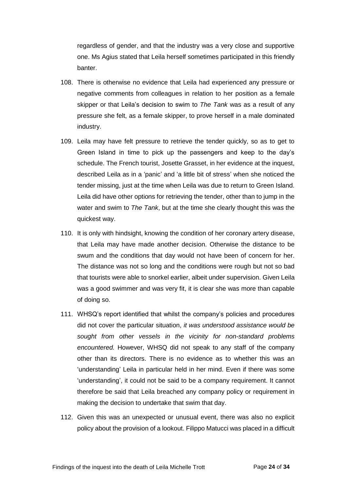regardless of gender, and that the industry was a very close and supportive one. Ms Agius stated that Leila herself sometimes participated in this friendly banter.

- 108. There is otherwise no evidence that Leila had experienced any pressure or negative comments from colleagues in relation to her position as a female skipper or that Leila's decision to swim to *The Tank* was as a result of any pressure she felt, as a female skipper, to prove herself in a male dominated industry.
- 109. Leila may have felt pressure to retrieve the tender quickly, so as to get to Green Island in time to pick up the passengers and keep to the day's schedule. The French tourist, Josette Grasset, in her evidence at the inquest, described Leila as in a 'panic' and 'a little bit of stress' when she noticed the tender missing, just at the time when Leila was due to return to Green Island. Leila did have other options for retrieving the tender, other than to jump in the water and swim to *The Tank*, but at the time she clearly thought this was the quickest way.
- 110. It is only with hindsight, knowing the condition of her coronary artery disease, that Leila may have made another decision. Otherwise the distance to be swum and the conditions that day would not have been of concern for her. The distance was not so long and the conditions were rough but not so bad that tourists were able to snorkel earlier, albeit under supervision. Given Leila was a good swimmer and was very fit, it is clear she was more than capable of doing so.
- 111. WHSQ's report identified that whilst the company's policies and procedures did not cover the particular situation, *it was understood assistance would be sought from other vessels in the vicinity for non-standard problems encountered.* However, WHSQ did not speak to any staff of the company other than its directors. There is no evidence as to whether this was an 'understanding' Leila in particular held in her mind. Even if there was some 'understanding', it could not be said to be a company requirement. It cannot therefore be said that Leila breached any company policy or requirement in making the decision to undertake that swim that day.
- 112. Given this was an unexpected or unusual event, there was also no explicit policy about the provision of a lookout. Filippo Matucci was placed in a difficult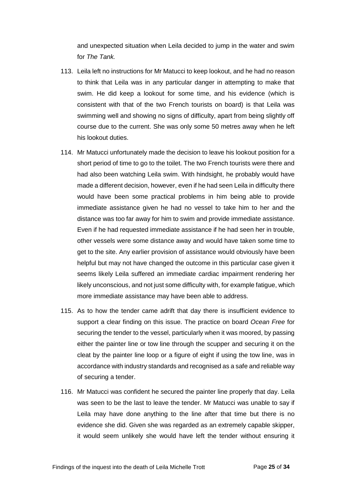and unexpected situation when Leila decided to jump in the water and swim for *The Tank.*

- 113. Leila left no instructions for Mr Matucci to keep lookout, and he had no reason to think that Leila was in any particular danger in attempting to make that swim. He did keep a lookout for some time, and his evidence (which is consistent with that of the two French tourists on board) is that Leila was swimming well and showing no signs of difficulty, apart from being slightly off course due to the current. She was only some 50 metres away when he left his lookout duties.
- 114. Mr Matucci unfortunately made the decision to leave his lookout position for a short period of time to go to the toilet. The two French tourists were there and had also been watching Leila swim. With hindsight, he probably would have made a different decision, however, even if he had seen Leila in difficulty there would have been some practical problems in him being able to provide immediate assistance given he had no vessel to take him to her and the distance was too far away for him to swim and provide immediate assistance. Even if he had requested immediate assistance if he had seen her in trouble, other vessels were some distance away and would have taken some time to get to the site. Any earlier provision of assistance would obviously have been helpful but may not have changed the outcome in this particular case given it seems likely Leila suffered an immediate cardiac impairment rendering her likely unconscious, and not just some difficulty with, for example fatigue, which more immediate assistance may have been able to address.
- 115. As to how the tender came adrift that day there is insufficient evidence to support a clear finding on this issue. The practice on board *Ocean Free* for securing the tender to the vessel, particularly when it was moored, by passing either the painter line or tow line through the scupper and securing it on the cleat by the painter line loop or a figure of eight if using the tow line, was in accordance with industry standards and recognised as a safe and reliable way of securing a tender.
- 116. Mr Matucci was confident he secured the painter line properly that day. Leila was seen to be the last to leave the tender. Mr Matucci was unable to say if Leila may have done anything to the line after that time but there is no evidence she did. Given she was regarded as an extremely capable skipper, it would seem unlikely she would have left the tender without ensuring it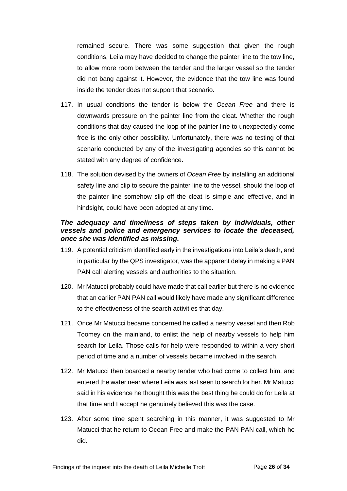remained secure. There was some suggestion that given the rough conditions, Leila may have decided to change the painter line to the tow line, to allow more room between the tender and the larger vessel so the tender did not bang against it. However, the evidence that the tow line was found inside the tender does not support that scenario.

- 117. In usual conditions the tender is below the *Ocean Free* and there is downwards pressure on the painter line from the cleat. Whether the rough conditions that day caused the loop of the painter line to unexpectedly come free is the only other possibility. Unfortunately, there was no testing of that scenario conducted by any of the investigating agencies so this cannot be stated with any degree of confidence.
- 118. The solution devised by the owners of *Ocean Free* by installing an additional safety line and clip to secure the painter line to the vessel, should the loop of the painter line somehow slip off the cleat is simple and effective, and in hindsight, could have been adopted at any time.

#### <span id="page-26-0"></span>*The adequacy and timeliness of steps taken by individuals, other vessels and police and emergency services to locate the deceased, once she was identified as missing.*

- 119. A potential criticism identified early in the investigations into Leila's death, and in particular by the QPS investigator, was the apparent delay in making a PAN PAN call alerting vessels and authorities to the situation.
- 120. Mr Matucci probably could have made that call earlier but there is no evidence that an earlier PAN PAN call would likely have made any significant difference to the effectiveness of the search activities that day.
- 121. Once Mr Matucci became concerned he called a nearby vessel and then Rob Toomey on the mainland, to enlist the help of nearby vessels to help him search for Leila. Those calls for help were responded to within a very short period of time and a number of vessels became involved in the search.
- 122. Mr Matucci then boarded a nearby tender who had come to collect him, and entered the water near where Leila was last seen to search for her. Mr Matucci said in his evidence he thought this was the best thing he could do for Leila at that time and I accept he genuinely believed this was the case.
- 123. After some time spent searching in this manner, it was suggested to Mr Matucci that he return to Ocean Free and make the PAN PAN call, which he did.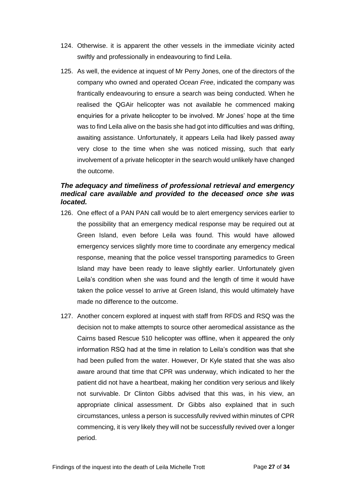- 124. Otherwise. it is apparent the other vessels in the immediate vicinity acted swiftly and professionally in endeavouring to find Leila.
- 125. As well, the evidence at inquest of Mr Perry Jones, one of the directors of the company who owned and operated *Ocean Free*, indicated the company was frantically endeavouring to ensure a search was being conducted. When he realised the QGAir helicopter was not available he commenced making enquiries for a private helicopter to be involved. Mr Jones' hope at the time was to find Leila alive on the basis she had got into difficulties and was drifting, awaiting assistance. Unfortunately, it appears Leila had likely passed away very close to the time when she was noticed missing, such that early involvement of a private helicopter in the search would unlikely have changed the outcome.

#### <span id="page-27-0"></span>*The adequacy and timeliness of professional retrieval and emergency medical care available and provided to the deceased once she was located.*

- 126. One effect of a PAN PAN call would be to alert emergency services earlier to the possibility that an emergency medical response may be required out at Green Island, even before Leila was found. This would have allowed emergency services slightly more time to coordinate any emergency medical response, meaning that the police vessel transporting paramedics to Green Island may have been ready to leave slightly earlier. Unfortunately given Leila's condition when she was found and the length of time it would have taken the police vessel to arrive at Green Island, this would ultimately have made no difference to the outcome.
- 127. Another concern explored at inquest with staff from RFDS and RSQ was the decision not to make attempts to source other aeromedical assistance as the Cairns based Rescue 510 helicopter was offline, when it appeared the only information RSQ had at the time in relation to Leila's condition was that she had been pulled from the water. However, Dr Kyle stated that she was also aware around that time that CPR was underway, which indicated to her the patient did not have a heartbeat, making her condition very serious and likely not survivable. Dr Clinton Gibbs advised that this was, in his view, an appropriate clinical assessment. Dr Gibbs also explained that in such circumstances, unless a person is successfully revived within minutes of CPR commencing, it is very likely they will not be successfully revived over a longer period.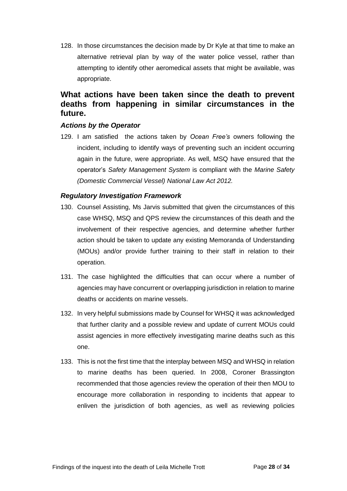128. In those circumstances the decision made by Dr Kyle at that time to make an alternative retrieval plan by way of the water police vessel, rather than attempting to identify other aeromedical assets that might be available, was appropriate.

# <span id="page-28-0"></span>**What actions have been taken since the death to prevent deaths from happening in similar circumstances in the future.**

#### <span id="page-28-1"></span>*Actions by the Operator*

129. I am satisfied the actions taken by *Ocean Free's* owners following the incident, including to identify ways of preventing such an incident occurring again in the future, were appropriate. As well, MSQ have ensured that the operator's *Safety Management System* is compliant with the *Marine Safety (Domestic Commercial Vessel) National Law Act 2012.*

#### <span id="page-28-2"></span>*Regulatory Investigation Framework*

- 130. Counsel Assisting, Ms Jarvis submitted that given the circumstances of this case WHSQ, MSQ and QPS review the circumstances of this death and the involvement of their respective agencies, and determine whether further action should be taken to update any existing Memoranda of Understanding (MOUs) and/or provide further training to their staff in relation to their operation.
- 131. The case highlighted the difficulties that can occur where a number of agencies may have concurrent or overlapping jurisdiction in relation to marine deaths or accidents on marine vessels.
- 132. In very helpful submissions made by Counsel for WHSQ it was acknowledged that further clarity and a possible review and update of current MOUs could assist agencies in more effectively investigating marine deaths such as this one.
- 133. This is not the first time that the interplay between MSQ and WHSQ in relation to marine deaths has been queried. In 2008, Coroner Brassington recommended that those agencies review the operation of their then MOU to encourage more collaboration in responding to incidents that appear to enliven the jurisdiction of both agencies, as well as reviewing policies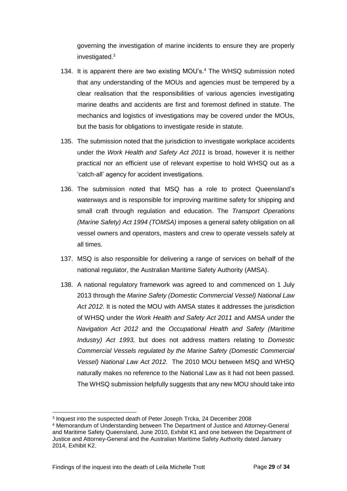governing the investigation of marine incidents to ensure they are properly investigated.<sup>3</sup>

- 134. It is apparent there are two existing MOU's.<sup>4</sup> The WHSQ submission noted that any understanding of the MOUs and agencies must be tempered by a clear realisation that the responsibilities of various agencies investigating marine deaths and accidents are first and foremost defined in statute. The mechanics and logistics of investigations may be covered under the MOUs, but the basis for obligations to investigate reside in statute.
- 135. The submission noted that the jurisdiction to investigate workplace accidents under the *Work Health and Safety Act 2011* is broad, however it is neither practical nor an efficient use of relevant expertise to hold WHSQ out as a 'catch-all' agency for accident investigations.
- 136. The submission noted that MSQ has a role to protect Queensland's waterways and is responsible for improving maritime safety for shipping and small craft through regulation and education. The *Transport Operations (Marine Safety) Act 1994 (TOMSA)* imposes a general safety obligation on all vessel owners and operators, masters and crew to operate vessels safely at all times.
- 137. MSQ is also responsible for delivering a range of services on behalf of the national regulator, the Australian Maritime Safety Authority (AMSA).
- 138. A national regulatory framework was agreed to and commenced on 1 July 2013 through the *Marine Safety (Domestic Commercial Vessel) National Law Act 2012.* It is noted the MOU with AMSA states it addresses the jurisdiction of WHSQ under the *Work Health and Safety Act 2011* and AMSA under the *Navigation Act 2012* and the *Occupational Health and Safety (Maritime Industry) Act 1993,* but does not address matters relating to *Domestic Commercial Vessels regulated by the Marine Safety (Domestic Commercial Vessel) National Law Act 2012.* The 2010 MOU between MSQ and WHSQ naturally makes no reference to the National Law as it had not been passed. The WHSQ submission helpfully suggests that any new MOU should take into

l

<sup>3</sup> Inquest into the suspected death of Peter Joseph Trcka, 24 December 2008

<sup>4</sup> Memorandum of Understanding between The Department of Justice and Attorney-General and Maritime Safety Queensland, June 2010, Exhibit K1 and one between the Department of Justice and Attorney-General and the Australian Maritime Safety Authority dated January 2014, Exhibit K2.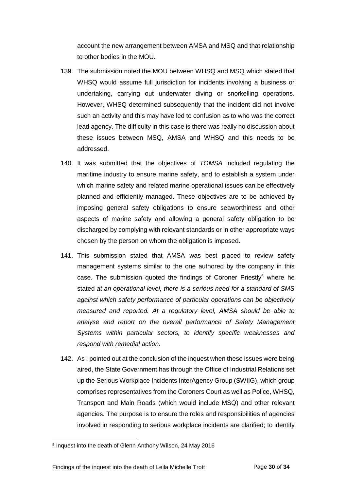account the new arrangement between AMSA and MSQ and that relationship to other bodies in the MOU.

- 139. The submission noted the MOU between WHSQ and MSQ which stated that WHSQ would assume full jurisdiction for incidents involving a business or undertaking, carrying out underwater diving or snorkelling operations. However, WHSQ determined subsequently that the incident did not involve such an activity and this may have led to confusion as to who was the correct lead agency. The difficulty in this case is there was really no discussion about these issues between MSQ, AMSA and WHSQ and this needs to be addressed.
- 140. It was submitted that the objectives of *TOMSA* included regulating the maritime industry to ensure marine safety, and to establish a system under which marine safety and related marine operational issues can be effectively planned and efficiently managed. These objectives are to be achieved by imposing general safety obligations to ensure seaworthiness and other aspects of marine safety and allowing a general safety obligation to be discharged by complying with relevant standards or in other appropriate ways chosen by the person on whom the obligation is imposed.
- 141. This submission stated that AMSA was best placed to review safety management systems similar to the one authored by the company in this case. The submission quoted the findings of Coroner Priestly<sup>5</sup> where he stated *at an operational level, there is a serious need for a standard of SMS against which safety performance of particular operations can be objectively measured and reported. At a regulatory level, AMSA should be able to analyse and report on the overall performance of Safety Management Systems within particular sectors, to identify specific weaknesses and respond with remedial action.*
- 142. As I pointed out at the conclusion of the inquest when these issues were being aired, the State Government has through the Office of Industrial Relations set up the Serious Workplace Incidents InterAgency Group (SWIIG), which group comprises representatives from the Coroners Court as well as Police, WHSQ, Transport and Main Roads (which would include MSQ) and other relevant agencies. The purpose is to ensure the roles and responsibilities of agencies involved in responding to serious workplace incidents are clarified; to identify

l

<sup>5</sup> Inquest into the death of Glenn Anthony Wilson, 24 May 2016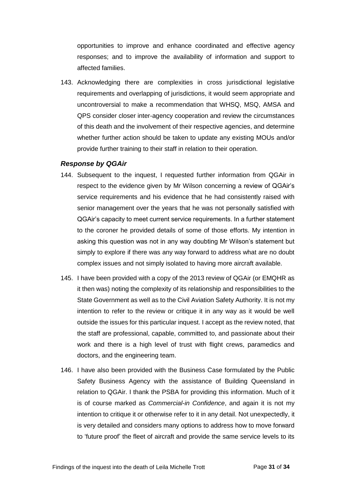opportunities to improve and enhance coordinated and effective agency responses; and to improve the availability of information and support to affected families.

143. Acknowledging there are complexities in cross jurisdictional legislative requirements and overlapping of jurisdictions, it would seem appropriate and uncontroversial to make a recommendation that WHSQ, MSQ, AMSA and QPS consider closer inter-agency cooperation and review the circumstances of this death and the involvement of their respective agencies, and determine whether further action should be taken to update any existing MOUs and/or provide further training to their staff in relation to their operation.

#### <span id="page-31-0"></span>*Response by QGAir*

- 144. Subsequent to the inquest, I requested further information from QGAir in respect to the evidence given by Mr Wilson concerning a review of QGAir's service requirements and his evidence that he had consistently raised with senior management over the years that he was not personally satisfied with QGAir's capacity to meet current service requirements. In a further statement to the coroner he provided details of some of those efforts. My intention in asking this question was not in any way doubting Mr Wilson's statement but simply to explore if there was any way forward to address what are no doubt complex issues and not simply isolated to having more aircraft available.
- 145. I have been provided with a copy of the 2013 review of QGAir (or EMQHR as it then was) noting the complexity of its relationship and responsibilities to the State Government as well as to the Civil Aviation Safety Authority. It is not my intention to refer to the review or critique it in any way as it would be well outside the issues for this particular inquest. I accept as the review noted, that the staff are professional, capable, committed to, and passionate about their work and there is a high level of trust with flight crews, paramedics and doctors, and the engineering team.
- 146. I have also been provided with the Business Case formulated by the Public Safety Business Agency with the assistance of Building Queensland in relation to QGAir. I thank the PSBA for providing this information. Much of it is of course marked as *Commercial-in Confidence*, and again it is not my intention to critique it or otherwise refer to it in any detail. Not unexpectedly, it is very detailed and considers many options to address how to move forward to 'future proof' the fleet of aircraft and provide the same service levels to its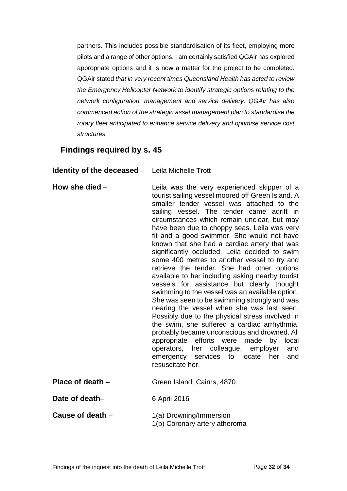partners. This includes possible standardisation of its fleet, employing more pilots and a range of other options. I am certainly satisfied QGAir has explored appropriate options and it is now a matter for the project to be completed. QGAir stated *that in very recent times Queensland Health has acted to review the Emergency Helicopter Network to identify strategic options relating to the network configuration, management and service delivery. QGAir has also commenced action of the strategic asset management plan to standardise the rotary fleet anticipated to enhance service delivery and optimise service cost structures.*

# <span id="page-32-0"></span>**Findings required by s. 45**

<span id="page-32-1"></span>**Identity of the deceased** – Leila Michelle Trott

- <span id="page-32-5"></span><span id="page-32-4"></span><span id="page-32-3"></span><span id="page-32-2"></span>**How she died** – **Leila** was the very experienced skipper of a tourist sailing vessel moored off Green Island. A smaller tender vessel was attached to the sailing vessel. The tender came adrift in circumstances which remain unclear, but may have been due to choppy seas. Leila was very fit and a good swimmer. She would not have known that she had a cardiac artery that was significantly occluded. Leila decided to swim some 400 metres to another vessel to try and retrieve the tender. She had other options available to her including asking nearby tourist vessels for assistance but clearly thought swimming to the vessel was an available option. She was seen to be swimming strongly and was nearing the vessel when she was last seen. Possibly due to the physical stress involved in the swim, she suffered a cardiac arrhythmia, probably became unconscious and drowned. All appropriate efforts were made by local operators, her colleague, employer and emergency services to locate her and resuscitate her. **Place of death** – Green Island, Cairns, 4870 **Date of death–** 6 April 2016 **Cause of death** – 1(a) Drowning/Immersion
	- 1(b) Coronary artery atheroma